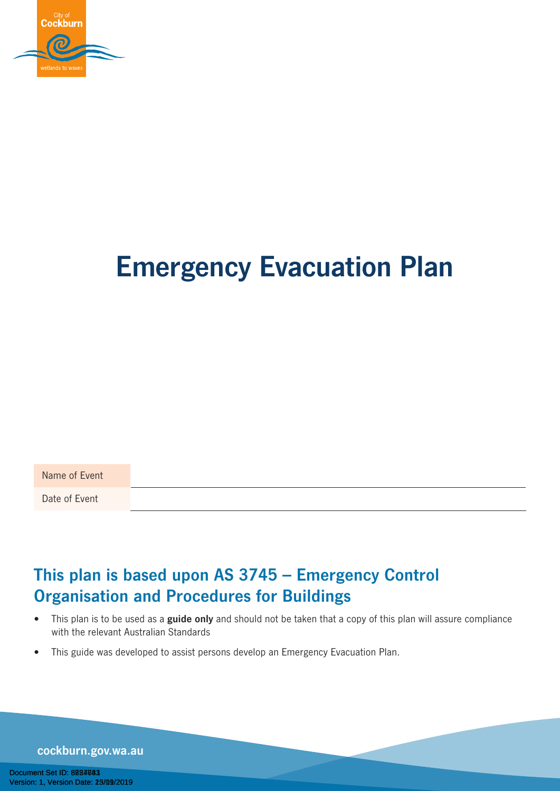

# **Emergency Evacuation Plan**

Name of Event

Date of Event

### **This plan is based upon AS 3745 – Emergency Control Organisation and Procedures for Buildings**

- This plan is to be used as a **guide only** and should not be taken that a copy of this plan will assure compliance with the relevant Australian Standards
- This guide was developed to assist persons develop an Emergency Evacuation Plan.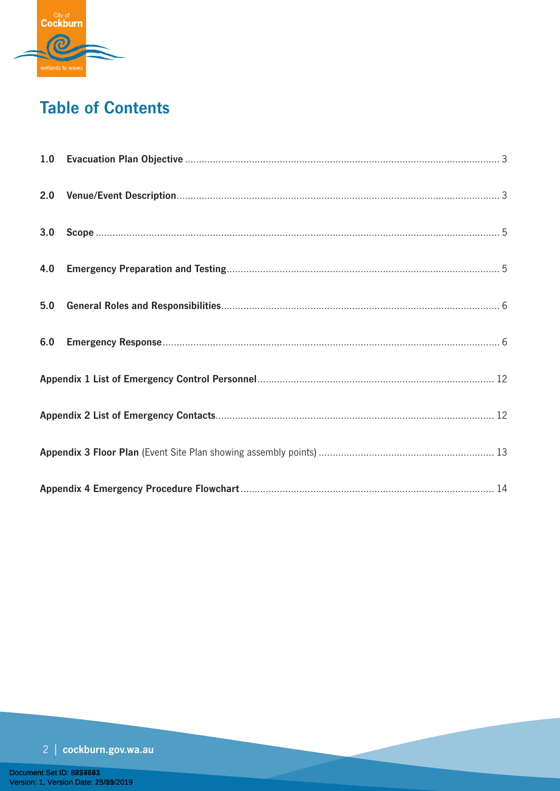

# **Table of Contents**

| 2.0 |  |  |  |
|-----|--|--|--|
| 3.0 |  |  |  |
| 4.0 |  |  |  |
| 5.0 |  |  |  |
| 6.0 |  |  |  |
|     |  |  |  |
|     |  |  |  |
|     |  |  |  |
|     |  |  |  |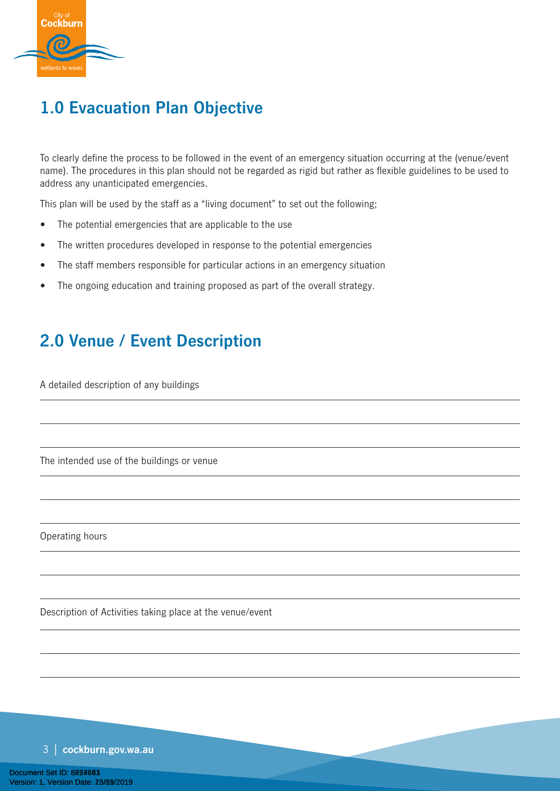

# **1.0 Evacuation Plan Objective**

To clearly define the process to be followed in the event of an emergency situation occurring at the (venue/event name). The procedures in this plan should not be regarded as rigid but rather as flexible guidelines to be used to address any unanticipated emergencies.

This plan will be used by the staff as a "living document" to set out the following;

- The potential emergencies that are applicable to the use
- The written procedures developed in response to the potential emergencies
- The staff members responsible for particular actions in an emergency situation
- The ongoing education and training proposed as part of the overall strategy.

### **2.0 Venue / Event Description**

A detailed description of any buildings

The intended use of the buildings or venue

Operating hours

Description of Activities taking place at the venue/event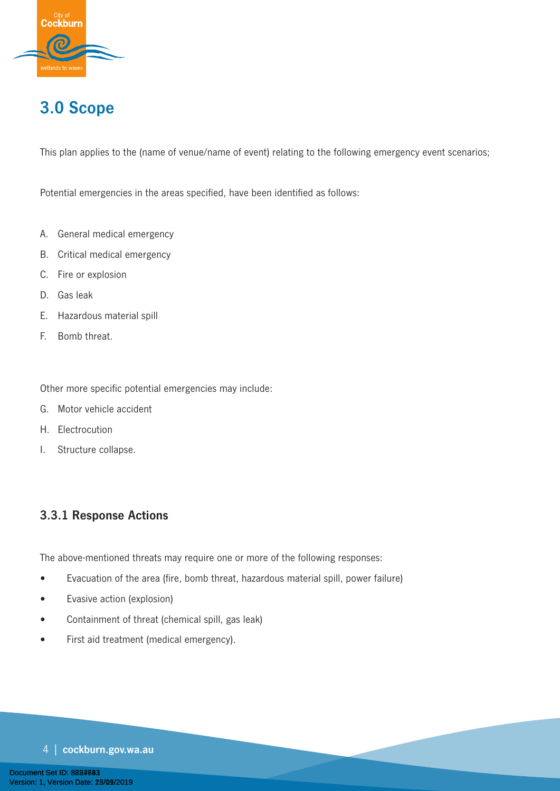

# **3.0 Scope**

This plan applies to the (name of venue/name of event) relating to the following emergency event scenarios;

Potential emergencies in the areas specified, have been identified as follows:

- A. General medical emergency
- B. Critical medical emergency
- C. Fire or explosion
- D. Gas leak
- E. Hazardous material spill
- F. Bomb threat.

Other more specific potential emergencies may include:

- G. Motor vehicle accident
- H. Electrocution
- I. Structure collapse.

### **3.3.1 Response Actions**

The above-mentioned threats may require one or more of the following responses:

- Evacuation of the area (fire, bomb threat, hazardous material spill, power failure)
- Evasive action (explosion)
- Containment of threat (chemical spill, gas leak)
- First aid treatment (medical emergency).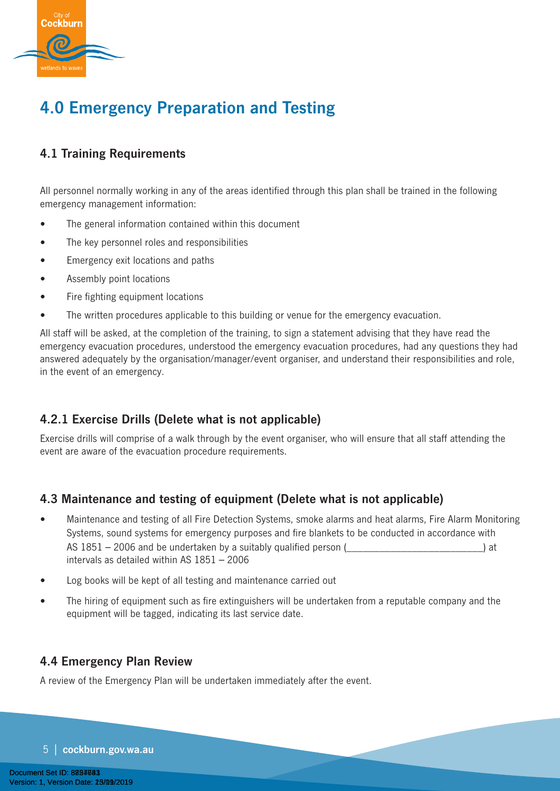

# **4.0 Emergency Preparation and Testing**

### **4.1 Training Requirements**

All personnel normally working in any of the areas identified through this plan shall be trained in the following emergency management information:

- The general information contained within this document
- The key personnel roles and responsibilities
- Emergency exit locations and paths
- Assembly point locations
- Fire fighting equipment locations
- The written procedures applicable to this building or venue for the emergency evacuation.

All staff will be asked, at the completion of the training, to sign a statement advising that they have read the emergency evacuation procedures, understood the emergency evacuation procedures, had any questions they had answered adequately by the organisation/manager/event organiser, and understand their responsibilities and role, in the event of an emergency.

### **4.2.1 Exercise Drills (Delete what is not applicable)**

Exercise drills will comprise of a walk through by the event organiser, who will ensure that all staff attending the event are aware of the evacuation procedure requirements.

### **4.3 Maintenance and testing of equipment (Delete what is not applicable)**

- Maintenance and testing of all Fire Detection Systems, smoke alarms and heat alarms, Fire Alarm Monitoring Systems, sound systems for emergency purposes and fire blankets to be conducted in accordance with AS  $1851 - 2006$  and be undertaken by a suitably qualified person  $($ intervals as detailed within AS 1851 – 2006
- Log books will be kept of all testing and maintenance carried out
- The hiring of equipment such as fire extinguishers will be undertaken from a reputable company and the equipment will be tagged, indicating its last service date.

### **4.4 Emergency Plan Review**

A review of the Emergency Plan will be undertaken immediately after the event.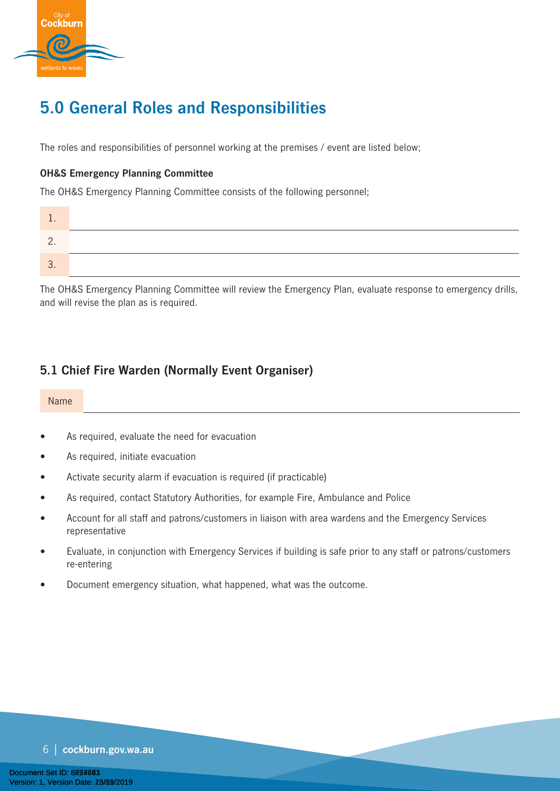

# **5.0 General Roles and Responsibilities**

The roles and responsibilities of personnel working at the premises / event are listed below;

#### **OH&S Emergency Planning Committee**

The OH&S Emergency Planning Committee consists of the following personnel;

| . .      |  |
|----------|--|
| <u>.</u> |  |
|          |  |

The OH&S Emergency Planning Committee will review the Emergency Plan, evaluate response to emergency drills, and will revise the plan as is required.

### **5.1 Chief Fire Warden (Normally Event Organiser)**

#### Name

- As required, evaluate the need for evacuation
- As required, initiate evacuation
- Activate security alarm if evacuation is required (if practicable)
- As required, contact Statutory Authorities, for example Fire, Ambulance and Police
- Account for all staff and patrons/customers in liaison with area wardens and the Emergency Services representative
- Evaluate, in conjunction with Emergency Services if building is safe prior to any staff or patrons/customers re-entering
- Document emergency situation, what happened, what was the outcome.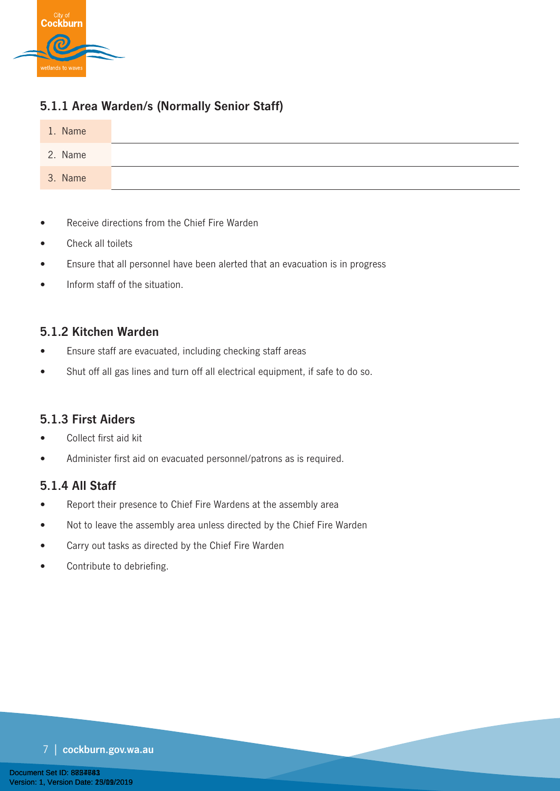

### **5.1.1 Area Warden/s (Normally Senior Staff)**



- Receive directions from the Chief Fire Warden
- Check all toilets
- Ensure that all personnel have been alerted that an evacuation is in progress
- Inform staff of the situation.

#### **5.1.2 Kitchen Warden**

- Ensure staff are evacuated, including checking staff areas
- Shut off all gas lines and turn off all electrical equipment, if safe to do so.

#### **5.1.3 First Aiders**

- Collect first aid kit
- Administer first aid on evacuated personnel/patrons as is required.

#### **5.1.4 All Staff**

- Report their presence to Chief Fire Wardens at the assembly area
- Not to leave the assembly area unless directed by the Chief Fire Warden
- Carry out tasks as directed by the Chief Fire Warden
- Contribute to debriefing.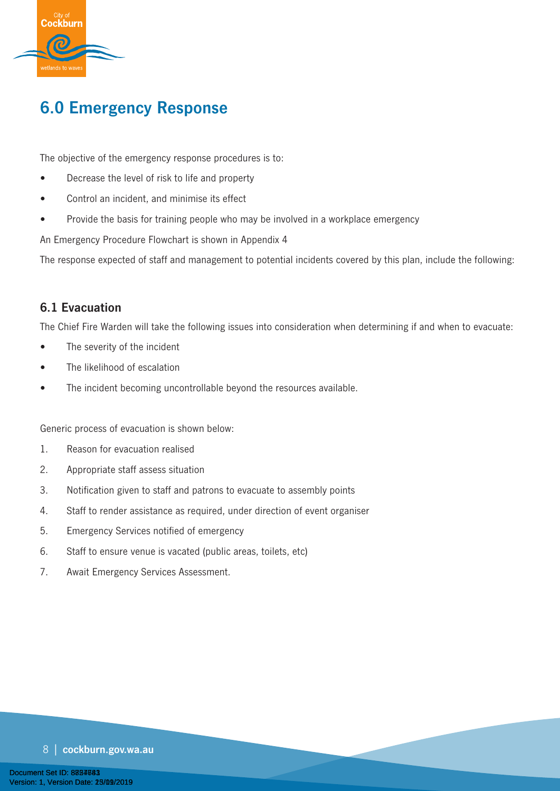

# **6.0 Emergency Response**

The objective of the emergency response procedures is to:

- Decrease the level of risk to life and property
- Control an incident, and minimise its effect
- Provide the basis for training people who may be involved in a workplace emergency

An Emergency Procedure Flowchart is shown in Appendix 4

The response expected of staff and management to potential incidents covered by this plan, include the following:

#### **6.1 Evacuation**

The Chief Fire Warden will take the following issues into consideration when determining if and when to evacuate:

- The severity of the incident
- The likelihood of escalation
- The incident becoming uncontrollable beyond the resources available.

Generic process of evacuation is shown below:

- 1. Reason for evacuation realised
- 2. Appropriate staff assess situation
- 3. Notification given to staff and patrons to evacuate to assembly points
- 4. Staff to render assistance as required, under direction of event organiser
- 5. Emergency Services notified of emergency
- 6. Staff to ensure venue is vacated (public areas, toilets, etc)
- 7. Await Emergency Services Assessment.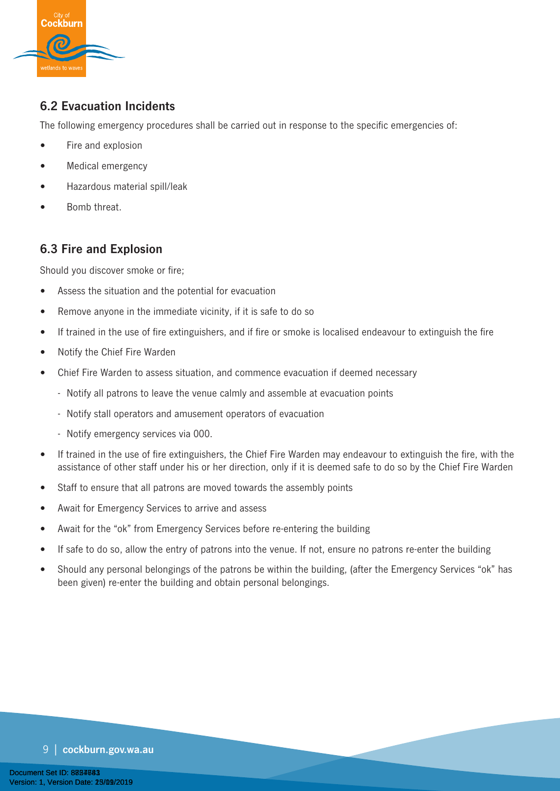

### **6.2 Evacuation Incidents**

The following emergency procedures shall be carried out in response to the specific emergencies of:

- Fire and explosion
- Medical emergency
- Hazardous material spill/leak
- Bomb threat.

### **6.3 Fire and Explosion**

Should you discover smoke or fire;

- Assess the situation and the potential for evacuation
- Remove anyone in the immediate vicinity, if it is safe to do so
- If trained in the use of fire extinguishers, and if fire or smoke is localised endeavour to extinguish the fire
- Notify the Chief Fire Warden
- Chief Fire Warden to assess situation, and commence evacuation if deemed necessary
	- Notify all patrons to leave the venue calmly and assemble at evacuation points
	- Notify stall operators and amusement operators of evacuation
	- Notify emergency services via 000.
- If trained in the use of fire extinguishers, the Chief Fire Warden may endeavour to extinguish the fire, with the assistance of other staff under his or her direction, only if it is deemed safe to do so by the Chief Fire Warden
- Staff to ensure that all patrons are moved towards the assembly points
- Await for Emergency Services to arrive and assess
- Await for the "ok" from Emergency Services before re-entering the building
- If safe to do so, allow the entry of patrons into the venue. If not, ensure no patrons re-enter the building
- Should any personal belongings of the patrons be within the building, (after the Emergency Services "ok" has been given) re-enter the building and obtain personal belongings.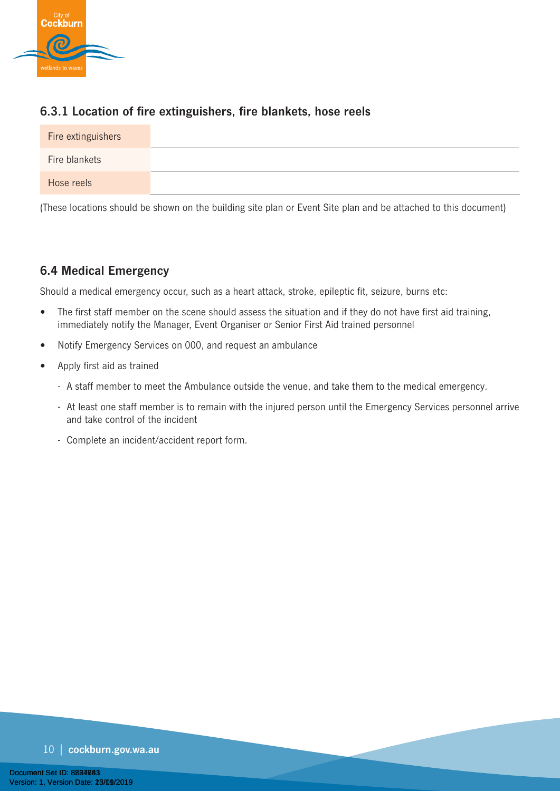

### **6.3.1 Location of fire extinguishers, fire blankets, hose reels**

| Fire extinguishers |  |
|--------------------|--|
| Fire blankets      |  |
| Hose reels         |  |

(These locations should be shown on the building site plan or Event Site plan and be attached to this document)

### **6.4 Medical Emergency**

Should a medical emergency occur, such as a heart attack, stroke, epileptic fit, seizure, burns etc:

- The first staff member on the scene should assess the situation and if they do not have first aid training, immediately notify the Manager, Event Organiser or Senior First Aid trained personnel
- Notify Emergency Services on 000, and request an ambulance
- Apply first aid as trained
	- A staff member to meet the Ambulance outside the venue, and take them to the medical emergency.
	- At least one staff member is to remain with the injured person until the Emergency Services personnel arrive and take control of the incident
	- Complete an incident/accident report form.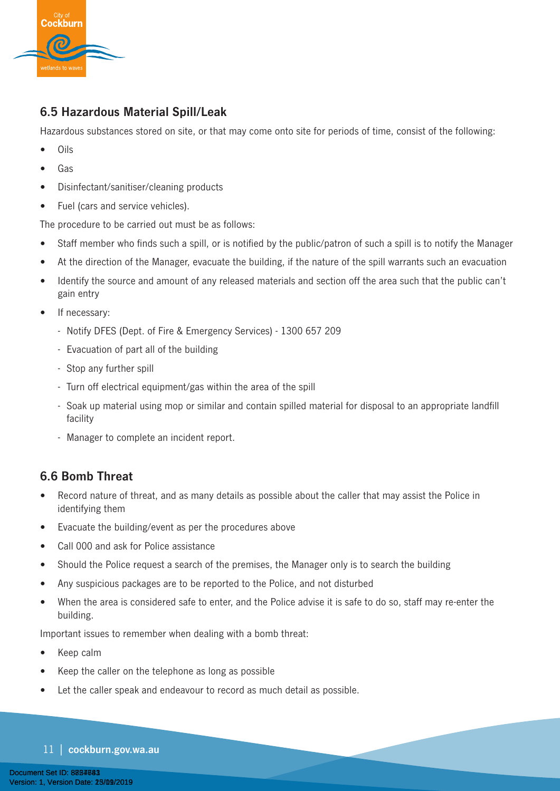

### **6.5 Hazardous Material Spill/Leak**

Hazardous substances stored on site, or that may come onto site for periods of time, consist of the following:

- Oils
- Gas
- Disinfectant/sanitiser/cleaning products
- Fuel (cars and service vehicles).

The procedure to be carried out must be as follows:

- Staff member who finds such a spill, or is notified by the public/patron of such a spill is to notify the Manager
- At the direction of the Manager, evacuate the building, if the nature of the spill warrants such an evacuation
- Identify the source and amount of any released materials and section off the area such that the public can't gain entry
- If necessary:
	- Notify DFES (Dept. of Fire & Emergency Services) 1300 657 209
	- Evacuation of part all of the building
	- Stop any further spill
	- Turn off electrical equipment/gas within the area of the spill
	- Soak up material using mop or similar and contain spilled material for disposal to an appropriate landfill facility
	- Manager to complete an incident report.

#### **6.6 Bomb Threat**

- Record nature of threat, and as many details as possible about the caller that may assist the Police in identifying them
- Evacuate the building/event as per the procedures above
- Call 000 and ask for Police assistance
- Should the Police request a search of the premises, the Manager only is to search the building
- Any suspicious packages are to be reported to the Police, and not disturbed
- When the area is considered safe to enter, and the Police advise it is safe to do so, staff may re-enter the building.

Important issues to remember when dealing with a bomb threat:

- Keep calm
- Keep the caller on the telephone as long as possible
- Let the caller speak and endeavour to record as much detail as possible.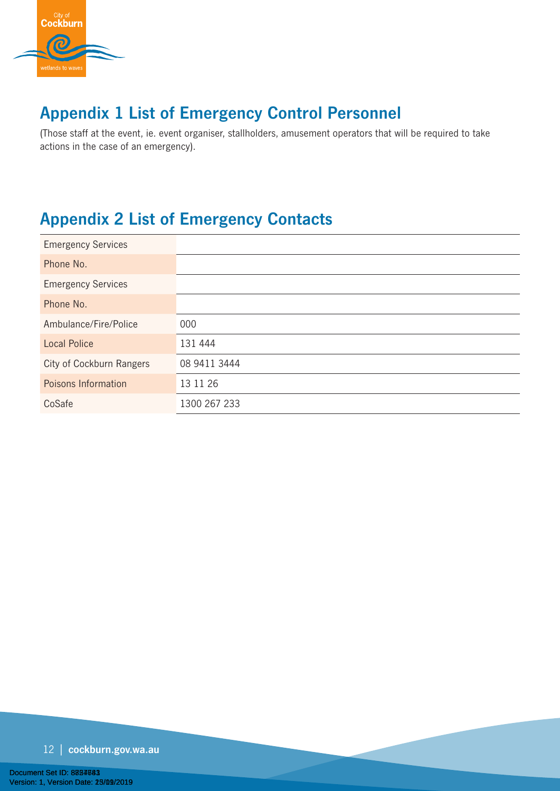

# **Appendix 1 List of Emergency Control Personnel**

(Those staff at the event, ie. event organiser, stallholders, amusement operators that will be required to take actions in the case of an emergency).

# **Appendix 2 List of Emergency Contacts**

| <b>Emergency Services</b> |              |
|---------------------------|--------------|
| Phone No.                 |              |
| <b>Emergency Services</b> |              |
| Phone No.                 |              |
| Ambulance/Fire/Police     | 000          |
| <b>Local Police</b>       | 131 444      |
| City of Cockburn Rangers  | 08 9411 3444 |
| Poisons Information       | 13 11 26     |
| CoSafe                    | 1300 267 233 |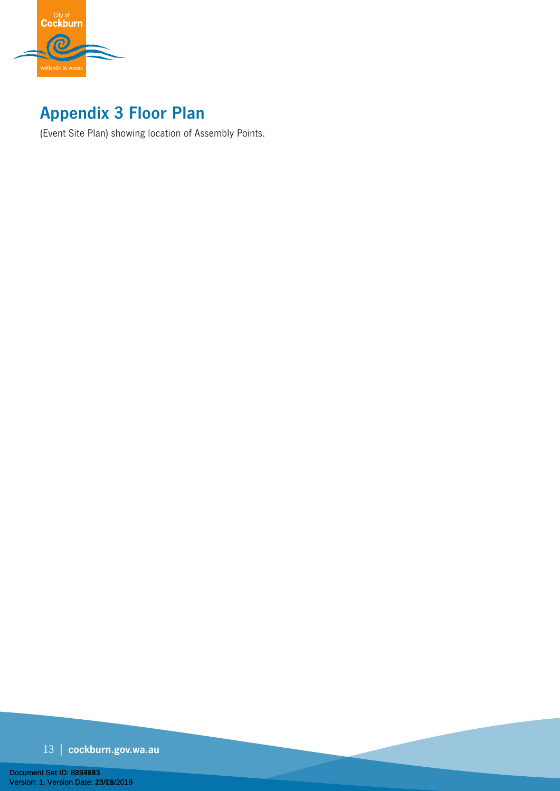

# **Appendix 3 Floor Plan**

(Event Site Plan) showing location of Assembly Points.